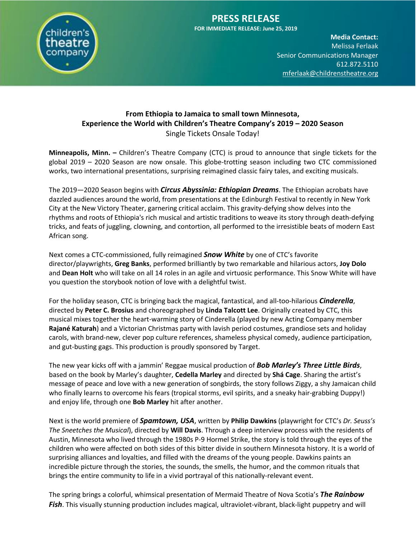

#### **PRESS RELEASE FOR IMMEDIATE RELEASE: June 25, 2019**

**Media Contact:**  Melissa Ferlaak Senior Communications Manager 612.872.5110 [mferlaak@childrenstheatre.org](mailto:mferlaak@childrenstheatre.org)

#### **From Ethiopia to Jamaica to small town Minnesota, Experience the World with Children's Theatre Company's 2019 – 2020 Season** Single Tickets Onsale Today!

**Minneapolis, Minn. –** Children's Theatre Company (CTC) is proud to announce that single tickets for the global 2019 – 2020 Season are now onsale. This globe-trotting season including two CTC commissioned works, two international presentations, surprising reimagined classic fairy tales, and exciting musicals.

The 2019—2020 Season begins with *Circus Abyssinia: Ethiopian Dreams*. The Ethiopian acrobats have dazzled audiences around the world, from presentations at the Edinburgh Festival to recently in New York City at the New Victory Theater, garnering critical acclaim. This gravity-defying show delves into the rhythms and roots of Ethiopia's rich musical and artistic traditions to weave its story through death-defying tricks, and feats of juggling, clowning, and contortion, all performed to the irresistible beats of modern East African song.

Next comes a CTC-commissioned, fully reimagined *Snow White* by one of CTC's favorite director/playwrights, **Greg Banks**, performed brilliantly by two remarkable and hilarious actors, **Joy Dolo** and **Dean Holt** who will take on all 14 roles in an agile and virtuosic performance. This Snow White will have you question the storybook notion of love with a delightful twist.

For the holiday season, CTC is bringing back the magical, fantastical, and all-too-hilarious *Cinderella*, directed by **Peter C. Brosius** and choreographed by **Linda Talcott Lee**. Originally created by CTC, this musical mixes together the heart-warming story of Cinderella (played by new Acting Company member **Rajané Katurah**) and a Victorian Christmas party with lavish period costumes, grandiose sets and holiday carols, with brand-new, clever pop culture references, shameless physical comedy, audience participation, and gut-busting gags. This production is proudly sponsored by Target.

The new year kicks off with a jammin' Reggae musical production of *Bob Marley's Three Little Birds*, based on the book by Marley's daughter, **Cedella Marley** and directed by **Shá Cage**. Sharing the artist's message of peace and love with a new generation of songbirds, the story follows Ziggy, a shy Jamaican child who finally learns to overcome his fears (tropical storms, evil spirits, and a sneaky hair-grabbing Duppy!) and enjoy life, through one **Bob Marley** hit after another.

Next is the world premiere of *Spamtown, USA*, written by **Philip Dawkins** (playwright for CTC's *Dr. Seuss's The Sneetches the Musical*), directed by **Will Davis**. Through a deep interview process with the residents of Austin, Minnesota who lived through the 1980s P-9 Hormel Strike, the story is told through the eyes of the children who were affected on both sides of this bitter divide in southern Minnesota history. It is a world of surprising alliances and loyalties, and filled with the dreams of the young people. Dawkins paints an incredible picture through the stories, the sounds, the smells, the humor, and the common rituals that brings the entire community to life in a vivid portrayal of this nationally-relevant event.

The spring brings a colorful, whimsical presentation of Mermaid Theatre of Nova Scotia's *The Rainbow Fish*. This visually stunning production includes magical, ultraviolet-vibrant, black-light puppetry and will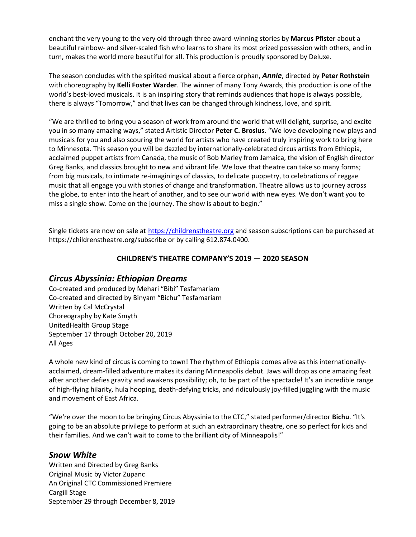enchant the very young to the very old through three award-winning stories by **Marcus Pfister** about a beautiful rainbow- and silver-scaled fish who learns to share its most prized possession with others, and in turn, makes the world more beautiful for all. This production is proudly sponsored by Deluxe.

The season concludes with the spirited musical about a fierce orphan, *Annie*, directed by Peter Rothstein with choreography by **Kelli Foster Warder**. The winner of many Tony Awards, this production is one of the world's best-loved musicals. It is an inspiring story that reminds audiences that hope is always possible, there is always "Tomorrow," and that lives can be changed through kindness, love, and spirit.

"We are thrilled to bring you a season of work from around the world that will delight, surprise, and excite you in so many amazing ways," stated Artistic Director **Peter C. Brosius.** "We love developing new plays and musicals for you and also scouring the world for artists who have created truly inspiring work to bring here to Minnesota. This season you will be dazzled by internationally-celebrated circus artists from Ethiopia, acclaimed puppet artists from Canada, the music of Bob Marley from Jamaica, the vision of English director Greg Banks, and classics brought to new and vibrant life. We love that theatre can take so many forms; from big musicals, to intimate re-imaginings of classics, to delicate puppetry, to celebrations of reggae music that all engage you with stories of change and transformation. Theatre allows us to journey across the globe, to enter into the heart of another, and to see our world with new eyes. We don't want you to miss a single show. Come on the journey. The show is about to begin."

Single tickets are now on sale at [https://childrenstheatre.org](https://childrenstheatre.org/) and season subscriptions can be purchased at https://childrenstheatre.org/subscribe or by calling 612.874.0400.

#### **CHILDREN'S THEATRE COMPANY'S 2019 — 2020 SEASON**

# *Circus Abyssinia: Ethiopian Dreams*

Co-created and produced by Mehari "Bibi" Tesfamariam Co-created and directed by Binyam "Bichu" Tesfamariam Written by Cal McCrystal Choreography by Kate Smyth UnitedHealth Group Stage September 17 through October 20, 2019 All Ages

A whole new kind of circus is coming to town! The rhythm of Ethiopia comes alive as this internationallyacclaimed, dream-filled adventure makes its daring Minneapolis debut. Jaws will drop as one amazing feat after another defies gravity and awakens possibility; oh, to be part of the spectacle! It's an incredible range of high-flying hilarity, hula hooping, death-defying tricks, and ridiculously joy-filled juggling with the music and movement of East Africa.

"We're over the moon to be bringing Circus Abyssinia to the CTC," stated performer/director **Bichu**. "It's going to be an absolute privilege to perform at such an extraordinary theatre, one so perfect for kids and their families. And we can't wait to come to the brilliant city of Minneapolis!"

# *Snow White*

Written and Directed by Greg Banks Original Music by Victor Zupanc An Original CTC Commissioned Premiere Cargill Stage September 29 through December 8, 2019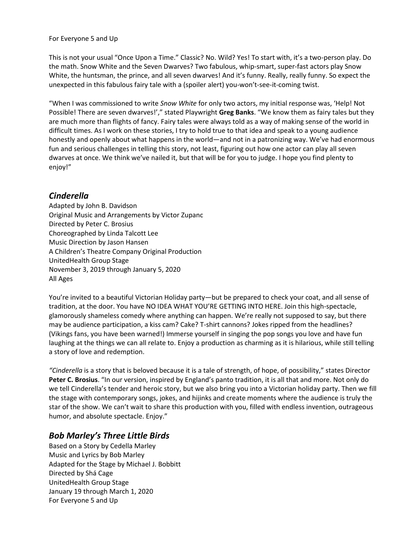#### For Everyone 5 and Up

This is not your usual "Once Upon a Time." Classic? No. Wild? Yes! To start with, it's a two-person play. Do the math. Snow White and the Seven Dwarves? Two fabulous, whip-smart, super-fast actors play Snow White, the huntsman, the prince, and all seven dwarves! And it's funny. Really, really funny. So expect the unexpected in this fabulous fairy tale with a (spoiler alert) you-won't-see-it-coming twist.

"When I was commissioned to write *Snow White* for only two actors, my initial response was, 'Help! Not Possible! There are seven dwarves!'," stated Playwright **Greg Banks**. "We know them as fairy tales but they are much more than flights of fancy. Fairy tales were always told as a way of making sense of the world in difficult times. As I work on these stories, I try to hold true to that idea and speak to a young audience honestly and openly about what happens in the world—and not in a patronizing way. We've had enormous fun and serious challenges in telling this story, not least, figuring out how one actor can play all seven dwarves at once. We think we've nailed it, but that will be for you to judge. I hope you find plenty to enjoy!"

# *Cinderella*

Adapted by John B. Davidson Original Music and Arrangements by Victor Zupanc Directed by Peter C. Brosius Choreographed by Linda Talcott Lee Music Direction by Jason Hansen A Children's Theatre Company Original Production UnitedHealth Group Stage November 3, 2019 through January 5, 2020 All Ages

You're invited to a beautiful Victorian Holiday party—but be prepared to check your coat, and all sense of tradition, at the door. You have NO IDEA WHAT YOU'RE GETTING INTO HERE. Join this high-spectacle, glamorously shameless comedy where anything can happen. We're really not supposed to say, but there may be audience participation, a kiss cam? Cake? T-shirt cannons? Jokes ripped from the headlines? (Vikings fans, you have been warned!) Immerse yourself in singing the pop songs you love and have fun laughing at the things we can all relate to. Enjoy a production as charming as it is hilarious, while still telling a story of love and redemption.

*"Cinderella* is a story that is beloved because it is a tale of strength, of hope, of possibility," states Director **Peter C. Brosius**. "In our version, inspired by England's panto tradition, it is all that and more. Not only do we tell Cinderella's tender and heroic story, but we also bring you into a Victorian holiday party. Then we fill the stage with contemporary songs, jokes, and hijinks and create moments where the audience is truly the star of the show. We can't wait to share this production with you, filled with endless invention, outrageous humor, and absolute spectacle. Enjoy."

# *Bob Marley's Three Little Birds*

Based on a Story by Cedella Marley Music and Lyrics by Bob Marley Adapted for the Stage by Michael J. Bobbitt Directed by Shá Cage UnitedHealth Group Stage January 19 through March 1, 2020 For Everyone 5 and Up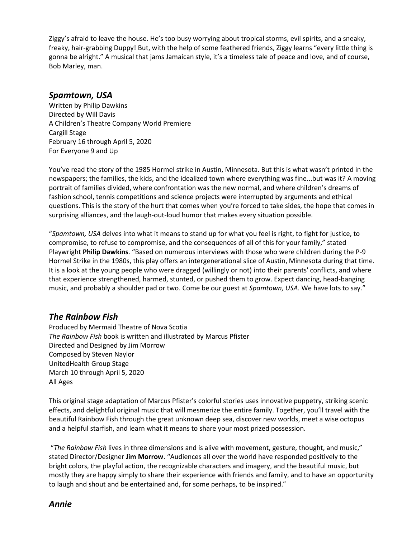Ziggy's afraid to leave the house. He's too busy worrying about tropical storms, evil spirits, and a sneaky, freaky, hair-grabbing Duppy! But, with the help of some feathered friends, Ziggy learns "every little thing is gonna be alright." A musical that jams Jamaican style, it's a timeless tale of peace and love, and of course, Bob Marley, man.

#### *Spamtown, USA*

Written by Philip Dawkins Directed by Will Davis A Children's Theatre Company World Premiere Cargill Stage February 16 through April 5, 2020 For Everyone 9 and Up

You've read the story of the 1985 Hormel strike in Austin, Minnesota. But this is what wasn't printed in the newspapers; the families, the kids, and the idealized town where everything was fine...but was it? A moving portrait of families divided, where confrontation was the new normal, and where children's dreams of fashion school, tennis competitions and science projects were interrupted by arguments and ethical questions. This is the story of the hurt that comes when you're forced to take sides, the hope that comes in surprising alliances, and the laugh-out-loud humor that makes every situation possible.

"*Spamtown, USA* delves into what it means to stand up for what you feel is right, to fight for justice, to compromise, to refuse to compromise, and the consequences of all of this for your family," stated Playwright **Philip Dawkins**. "Based on numerous interviews with those who were children during the P-9 Hormel Strike in the 1980s, this play offers an intergenerational slice of Austin, Minnesota during that time. It is a look at the young people who were dragged (willingly or not) into their parents' conflicts, and where that experience strengthened, harmed, stunted, or pushed them to grow. Expect dancing, head-banging music, and probably a shoulder pad or two. Come be our guest at *Spamtown, USA*. We have lots to say."

# *The Rainbow Fish*

Produced by Mermaid Theatre of Nova Scotia *The Rainbow Fish* book is written and illustrated by Marcus Pfister Directed and Designed by Jim Morrow Composed by Steven Naylor UnitedHealth Group Stage March 10 through April 5, 2020 All Ages

This original stage adaptation of Marcus Pfister's colorful stories uses innovative puppetry, striking scenic effects, and delightful original music that will mesmerize the entire family. Together, you'll travel with the beautiful Rainbow Fish through the great unknown deep sea, discover new worlds, meet a wise octopus and a helpful starfish, and learn what it means to share your most prized possession.

"*The Rainbow Fish* lives in three dimensions and is alive with movement, gesture, thought, and music," stated Director/Designer **Jim Morrow**. "Audiences all over the world have responded positively to the bright colors, the playful action, the recognizable characters and imagery, and the beautiful music, but mostly they are happy simply to share their experience with friends and family, and to have an opportunity to laugh and shout and be entertained and, for some perhaps, to be inspired."

# *Annie*